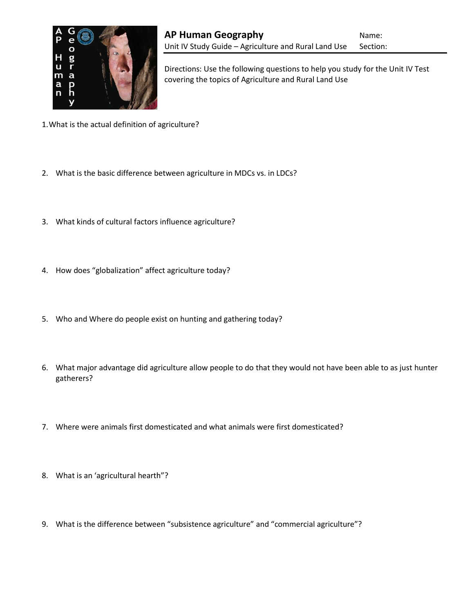

Directions: Use the following questions to help you study for the Unit IV Test covering the topics of Agriculture and Rural Land Use

- 1.What is the actual definition of agriculture?
- 2. What is the basic difference between agriculture in MDCs vs. in LDCs?
- 3. What kinds of cultural factors influence agriculture?
- 4. How does "globalization" affect agriculture today?
- 5. Who and Where do people exist on hunting and gathering today?
- 6. What major advantage did agriculture allow people to do that they would not have been able to as just hunter gatherers?
- 7. Where were animals first domesticated and what animals were first domesticated?
- 8. What is an 'agricultural hearth"?
- 9. What is the difference between "subsistence agriculture" and "commercial agriculture"?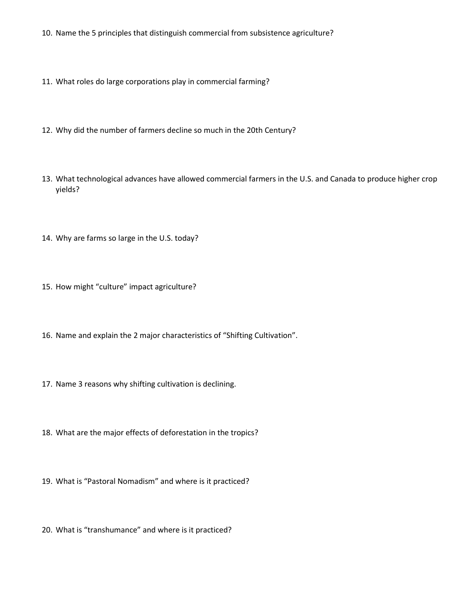- 10. Name the 5 principles that distinguish commercial from subsistence agriculture?
- 11. What roles do large corporations play in commercial farming?
- 12. Why did the number of farmers decline so much in the 20th Century?
- 13. What technological advances have allowed commercial farmers in the U.S. and Canada to produce higher crop yields?
- 14. Why are farms so large in the U.S. today?
- 15. How might "culture" impact agriculture?
- 16. Name and explain the 2 major characteristics of "Shifting Cultivation".
- 17. Name 3 reasons why shifting cultivation is declining.
- 18. What are the major effects of deforestation in the tropics?
- 19. What is "Pastoral Nomadism" and where is it practiced?
- 20. What is "transhumance" and where is it practiced?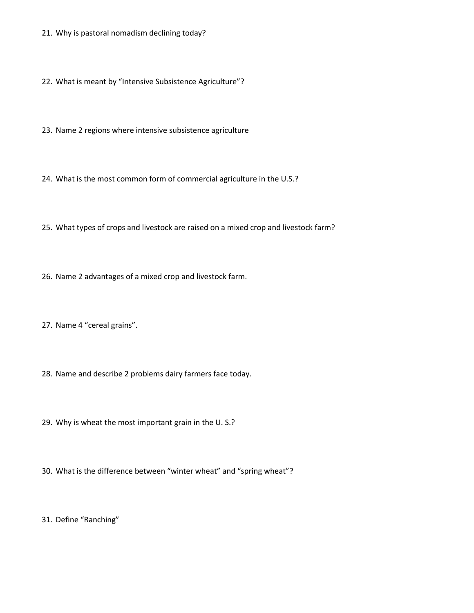- 21. Why is pastoral nomadism declining today?
- 22. What is meant by "Intensive Subsistence Agriculture"?
- 23. Name 2 regions where intensive subsistence agriculture
- 24. What is the most common form of commercial agriculture in the U.S.?
- 25. What types of crops and livestock are raised on a mixed crop and livestock farm?
- 26. Name 2 advantages of a mixed crop and livestock farm.
- 27. Name 4 "cereal grains".
- 28. Name and describe 2 problems dairy farmers face today.
- 29. Why is wheat the most important grain in the U. S.?
- 30. What is the difference between "winter wheat" and "spring wheat"?
- 31. Define "Ranching"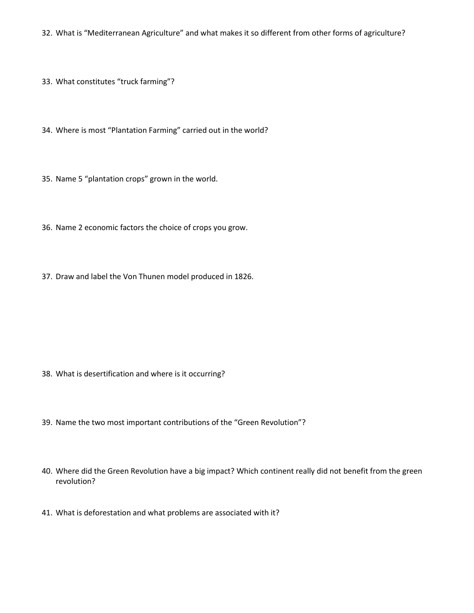32. What is "Mediterranean Agriculture" and what makes it so different from other forms of agriculture?

33. What constitutes "truck farming"?

34. Where is most "Plantation Farming" carried out in the world?

- 35. Name 5 "plantation crops" grown in the world.
- 36. Name 2 economic factors the choice of crops you grow.
- 37. Draw and label the Von Thunen model produced in 1826.

- 38. What is desertification and where is it occurring?
- 39. Name the two most important contributions of the "Green Revolution"?
- 40. Where did the Green Revolution have a big impact? Which continent really did not benefit from the green revolution?
- 41. What is deforestation and what problems are associated with it?